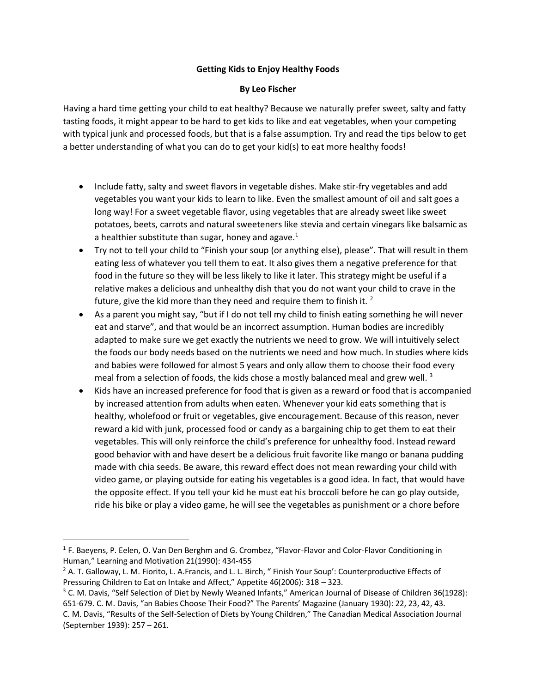## **Getting Kids to Enjoy Healthy Foods**

## **By Leo Fischer**

Having a hard time getting your child to eat healthy? Because we naturally prefer sweet, salty and fatty tasting foods, it might appear to be hard to get kids to like and eat vegetables, when your competing with typical junk and processed foods, but that is a false assumption. Try and read the tips below to get a better understanding of what you can do to get your kid(s) to eat more healthy foods!

- Include fatty, salty and sweet flavors in vegetable dishes. Make stir-fry vegetables and add vegetables you want your kids to learn to like. Even the smallest amount of oil and salt goes a long way! For a sweet vegetable flavor, using vegetables that are already sweet like sweet potatoes, beets, carrots and natural sweeteners like stevia and certain vinegars like balsamic as a healthier substitute than sugar, honey and agave. $1$
- Try not to tell your child to "Finish your soup (or anything else), please". That will result in them eating less of whatever you tell them to eat. It also gives them a negative preference for that food in the future so they will be less likely to like it later. This strategy might be useful if a relative makes a delicious and unhealthy dish that you do not want your child to crave in the future, give the kid more than they need and require them to finish it. <sup>2</sup>
- As a parent you might say, "but if I do not tell my child to finish eating something he will never eat and starve", and that would be an incorrect assumption. Human bodies are incredibly adapted to make sure we get exactly the nutrients we need to grow. We will intuitively select the foods our body needs based on the nutrients we need and how much. In studies where kids and babies were followed for almost 5 years and only allow them to choose their food every meal from a selection of foods, the kids chose a mostly balanced meal and grew well.  $3$
- Kids have an increased preference for food that is given as a reward or food that is accompanied by increased attention from adults when eaten. Whenever your kid eats something that is healthy, wholefood or fruit or vegetables, give encouragement. Because of this reason, never reward a kid with junk, processed food or candy as a bargaining chip to get them to eat their vegetables. This will only reinforce the child's preference for unhealthy food. Instead reward good behavior with and have desert be a delicious fruit favorite like mango or banana pudding made with chia seeds. Be aware, this reward effect does not mean rewarding your child with video game, or playing outside for eating his vegetables is a good idea. In fact, that would have the opposite effect. If you tell your kid he must eat his broccoli before he can go play outside, ride his bike or play a video game, he will see the vegetables as punishment or a chore before

 $\overline{\phantom{a}}$ 

<sup>&</sup>lt;sup>1</sup> F. Baeyens, P. Eelen, O. Van Den Berghm and G. Crombez, "Flavor-Flavor and Color-Flavor Conditioning in Human," Learning and Motivation 21(1990): 434-455

<sup>&</sup>lt;sup>2</sup> A. T. Galloway, L. M. Fiorito, L. A.Francis, and L. L. Birch, " Finish Your Soup': Counterproductive Effects of Pressuring Children to Eat on Intake and Affect," Appetite 46(2006): 318 – 323.

 $3$  C. M. Davis, "Self Selection of Diet by Newly Weaned Infants," American Journal of Disease of Children 36(1928): 651-679. C. M. Davis, "an Babies Choose Their Food?" The Parents' Magazine (January 1930): 22, 23, 42, 43. C. M. Davis, "Results of the Self-Selection of Diets by Young Children," The Canadian Medical Association Journal (September 1939): 257 – 261.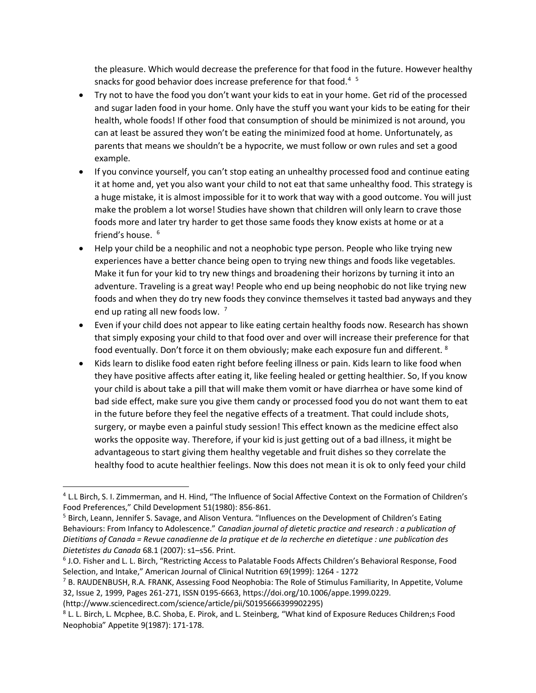the pleasure. Which would decrease the preference for that food in the future. However healthy snacks for good behavior does increase preference for that food. $45$ 

- Try not to have the food you don't want your kids to eat in your home. Get rid of the processed and sugar laden food in your home. Only have the stuff you want your kids to be eating for their health, whole foods! If other food that consumption of should be minimized is not around, you can at least be assured they won't be eating the minimized food at home. Unfortunately, as parents that means we shouldn't be a hypocrite, we must follow or own rules and set a good example.
- If you convince yourself, you can't stop eating an unhealthy processed food and continue eating it at home and, yet you also want your child to not eat that same unhealthy food. This strategy is a huge mistake, it is almost impossible for it to work that way with a good outcome. You will just make the problem a lot worse! Studies have shown that children will only learn to crave those foods more and later try harder to get those same foods they know exists at home or at a friend's house.<sup>6</sup>
- Help your child be a neophilic and not a neophobic type person. People who like trying new experiences have a better chance being open to trying new things and foods like vegetables. Make it fun for your kid to try new things and broadening their horizons by turning it into an adventure. Traveling is a great way! People who end up being neophobic do not like trying new foods and when they do try new foods they convince themselves it tasted bad anyways and they end up rating all new foods low.<sup>7</sup>
- Even if your child does not appear to like eating certain healthy foods now. Research has shown that simply exposing your child to that food over and over will increase their preference for that food eventually. Don't force it on them obviously; make each exposure fun and different. <sup>8</sup>
- Kids learn to dislike food eaten right before feeling illness or pain. Kids learn to like food when they have positive affects after eating it, like feeling healed or getting healthier. So, If you know your child is about take a pill that will make them vomit or have diarrhea or have some kind of bad side effect, make sure you give them candy or processed food you do not want them to eat in the future before they feel the negative effects of a treatment. That could include shots, surgery, or maybe even a painful study session! This effect known as the medicine effect also works the opposite way. Therefore, if your kid is just getting out of a bad illness, it might be advantageous to start giving them healthy vegetable and fruit dishes so they correlate the healthy food to acute healthier feelings. Now this does not mean it is ok to only feed your child

 $\overline{a}$ 

<sup>4</sup> L.L Birch, S. I. Zimmerman, and H. Hind, "The Influence of Social Affective Context on the Formation of Children's Food Preferences," Child Development 51(1980): 856-861.

<sup>&</sup>lt;sup>5</sup> Birch, Leann, Jennifer S. Savage, and Alison Ventura. "Influences on the Development of Children's Eating Behaviours: From Infancy to Adolescence." *Canadian journal of dietetic practice and research : a publication of Dietitians of Canada = Revue canadienne de la pratique et de la recherche en dietetique : une publication des Dietetistes du Canada* 68.1 (2007): s1–s56. Print.

<sup>6</sup> J.O. Fisher and L. L. Birch, "Restricting Access to Palatable Foods Affects Children's Behavioral Response, Food Selection, and Intake," American Journal of Clinical Nutrition 69(1999): 1264 - 1272

 $7$  B. RAUDENBUSH, R.A. FRANK, Assessing Food Neophobia: The Role of Stimulus Familiarity, In Appetite, Volume 32, Issue 2, 1999, Pages 261-271, ISSN 0195-6663, https://doi.org/10.1006/appe.1999.0229.

<sup>(</sup>http://www.sciencedirect.com/science/article/pii/S0195666399902295)

<sup>8</sup> L. L. Birch, L. Mcphee, B.C. Shoba, E. Pirok, and L. Steinberg, "What kind of Exposure Reduces Children;s Food Neophobia" Appetite 9(1987): 171-178.